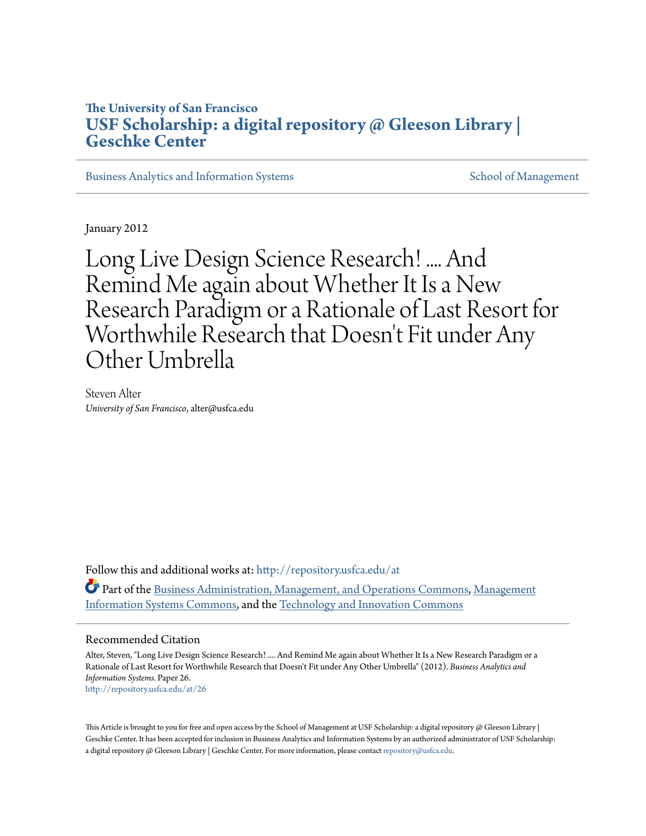# **The University of San Francisco [USF Scholarship: a digital repository @ Gleeson Library |](http://repository.usfca.edu?utm_source=repository.usfca.edu%2Fat%2F26&utm_medium=PDF&utm_campaign=PDFCoverPages) [Geschke Center](http://repository.usfca.edu?utm_source=repository.usfca.edu%2Fat%2F26&utm_medium=PDF&utm_campaign=PDFCoverPages)**

[Business Analytics and Information Systems](http://repository.usfca.edu/at?utm_source=repository.usfca.edu%2Fat%2F26&utm_medium=PDF&utm_campaign=PDFCoverPages) [School of Management](http://repository.usfca.edu/management?utm_source=repository.usfca.edu%2Fat%2F26&utm_medium=PDF&utm_campaign=PDFCoverPages) School of Management

January 2012

Long Live Design Science Research! .... And Remind Me again about Whether It Is a New Research Paradigm or a Rationale of Last Resort for Worthwhile Research that Doesn 't Fit under Any Other Umbrella

Steven Alter *University of San Francisco*, alter@usfca.edu

Follow this and additional works at: [http://repository.usfca.edu/at](http://repository.usfca.edu/at?utm_source=repository.usfca.edu%2Fat%2F26&utm_medium=PDF&utm_campaign=PDFCoverPages) Part of the [Business Administration, Management, and Operations Commons](http://network.bepress.com/hgg/discipline/623?utm_source=repository.usfca.edu%2Fat%2F26&utm_medium=PDF&utm_campaign=PDFCoverPages), [Management](http://network.bepress.com/hgg/discipline/636?utm_source=repository.usfca.edu%2Fat%2F26&utm_medium=PDF&utm_campaign=PDFCoverPages) [Information Systems Commons](http://network.bepress.com/hgg/discipline/636?utm_source=repository.usfca.edu%2Fat%2F26&utm_medium=PDF&utm_campaign=PDFCoverPages), and the [Technology and Innovation Commons](http://network.bepress.com/hgg/discipline/644?utm_source=repository.usfca.edu%2Fat%2F26&utm_medium=PDF&utm_campaign=PDFCoverPages)

#### Recommended Citation

Alter, Steven, "Long Live Design Science Research! .... And Remind Me again about Whether It Is a New Research Paradigm or a Rationale of Last Resort for Worthwhile Research that Doesn't Fit under Any Other Umbrella" (2012). *Business Analytics and Information Systems.* Paper 26. [http://repository.usfca.edu/at/26](http://repository.usfca.edu/at/26?utm_source=repository.usfca.edu%2Fat%2F26&utm_medium=PDF&utm_campaign=PDFCoverPages)

This Article is brought to you for free and open access by the School of Management at USF Scholarship: a digital repository @ Gleeson Library | Geschke Center. It has been accepted for inclusion in Business Analytics and Information Systems by an authorized administrator of USF Scholarship: a digital repository @ Gleeson Library | Geschke Center. For more information, please contact [repository@usfca.edu.](mailto:repository@usfca.edu)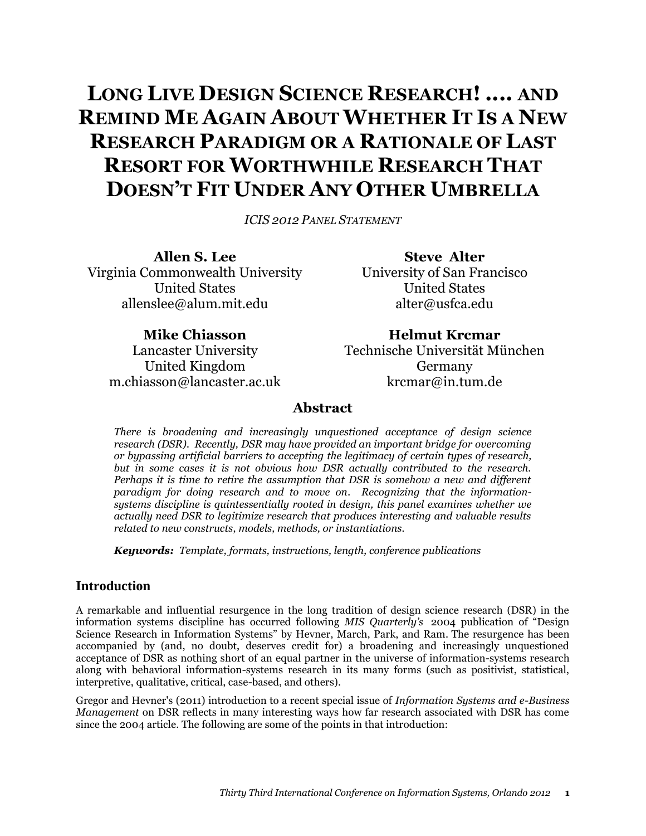# **LONG LIVE DESIGN SCIENCE RESEARCH! .... AND REMIND ME AGAIN ABOUT WHETHER IT IS A NEW RESEARCH PARADIGM OR A RATIONALE OF LAST RESORT FOR WORTHWHILE RESEARCH THAT DOESN'T FIT UNDER ANY OTHER UMBRELLA**

*ICIS 2012 PANEL STATEMENT*

**Allen S. Lee** Virginia Commonwealth University United States allenslee@alum.mit.edu

**Steve Alter** University of San Francisco United States alter@usfca.edu

**Mike Chiasson** Lancaster University United Kingdom m.chiasson@lancaster.ac.uk

**Helmut Krcmar** Technische Universität München Germany krcmar@in.tum.de

#### **Abstract**

*There is broadening and increasingly unquestioned acceptance of design science research (DSR). Recently, DSR may have provided an important bridge for overcoming or bypassing artificial barriers to accepting the legitimacy of certain types of research, but in some cases it is not obvious how DSR actually contributed to the research. Perhaps it is time to retire the assumption that DSR is somehow a new and different paradigm for doing research and to move on. Recognizing that the informationsystems discipline is quintessentially rooted in design, this panel examines whether we actually need DSR to legitimize research that produces interesting and valuable results related to new constructs, models, methods, or instantiations.*

*Keywords: Template, formats, instructions, length, conference publications*

#### **Introduction**

A remarkable and influential resurgence in the long tradition of design science research (DSR) in the information systems discipline has occurred following *MIS Quarterly's* 2004 publication of "Design Science Research in Information Systems" by Hevner, March, Park, and Ram. The resurgence has been accompanied by (and, no doubt, deserves credit for) a broadening and increasingly unquestioned acceptance of DSR as nothing short of an equal partner in the universe of information-systems research along with behavioral information-systems research in its many forms (such as positivist, statistical, interpretive, qualitative, critical, case-based, and others).

Gregor and Hevner's (2011) introduction to a recent special issue of *Information Systems and e-Business Management* on DSR reflects in many interesting ways how far research associated with DSR has come since the 2004 article. The following are some of the points in that introduction: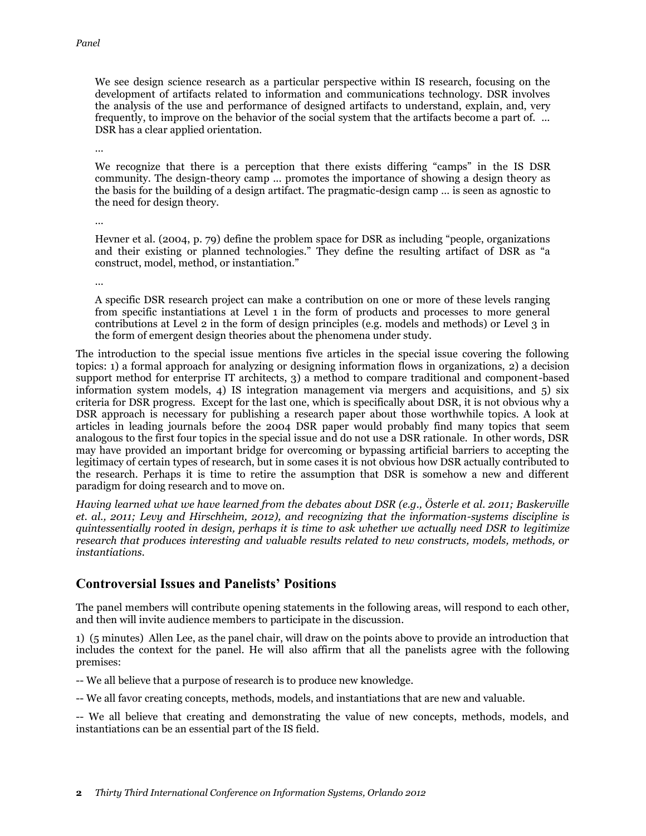We see design science research as a particular perspective within IS research, focusing on the development of artifacts related to information and communications technology. DSR involves the analysis of the use and performance of designed artifacts to understand, explain, and, very frequently, to improve on the behavior of the social system that the artifacts become a part of. ... DSR has a clear applied orientation.

…

We recognize that there is a perception that there exists differing "camps" in the IS DSR community. The design-theory camp ... promotes the importance of showing a design theory as the basis for the building of a design artifact. The pragmatic-design camp … is seen as agnostic to the need for design theory.

…

Hevner et al. (2004, p. 79) define the problem space for DSR as including "people, organizations and their existing or planned technologies." They define the resulting artifact of DSR as "a construct, model, method, or instantiation."

…

A specific DSR research project can make a contribution on one or more of these levels ranging from specific instantiations at Level 1 in the form of products and processes to more general contributions at Level 2 in the form of design principles (e.g. models and methods) or Level 3 in the form of emergent design theories about the phenomena under study.

The introduction to the special issue mentions five articles in the special issue covering the following topics: 1) a formal approach for analyzing or designing information flows in organizations, 2) a decision support method for enterprise IT architects, 3) a method to compare traditional and component-based information system models, 4) IS integration management via mergers and acquisitions, and 5) six criteria for DSR progress. Except for the last one, which is specifically about DSR, it is not obvious why a DSR approach is necessary for publishing a research paper about those worthwhile topics. A look at articles in leading journals before the 2004 DSR paper would probably find many topics that seem analogous to the first four topics in the special issue and do not use a DSR rationale. In other words, DSR may have provided an important bridge for overcoming or bypassing artificial barriers to accepting the legitimacy of certain types of research, but in some cases it is not obvious how DSR actually contributed to the research. Perhaps it is time to retire the assumption that DSR is somehow a new and different paradigm for doing research and to move on.

*Having learned what we have learned from the debates about DSR (e.g., Österle et al. 2011; Baskerville et. al., 2011; Levy and Hirschheim, 2012), and recognizing that the information-systems discipline is quintessentially rooted in design, perhaps it is time to ask whether we actually need DSR to legitimize research that produces interesting and valuable results related to new constructs, models, methods, or instantiations.*

## **Controversial Issues and Panelists' Positions**

The panel members will contribute opening statements in the following areas, will respond to each other, and then will invite audience members to participate in the discussion.

1) (5 minutes) Allen Lee, as the panel chair, will draw on the points above to provide an introduction that includes the context for the panel. He will also affirm that all the panelists agree with the following premises:

-- We all believe that a purpose of research is to produce new knowledge.

-- We all favor creating concepts, methods, models, and instantiations that are new and valuable.

-- We all believe that creating and demonstrating the value of new concepts, methods, models, and instantiations can be an essential part of the IS field.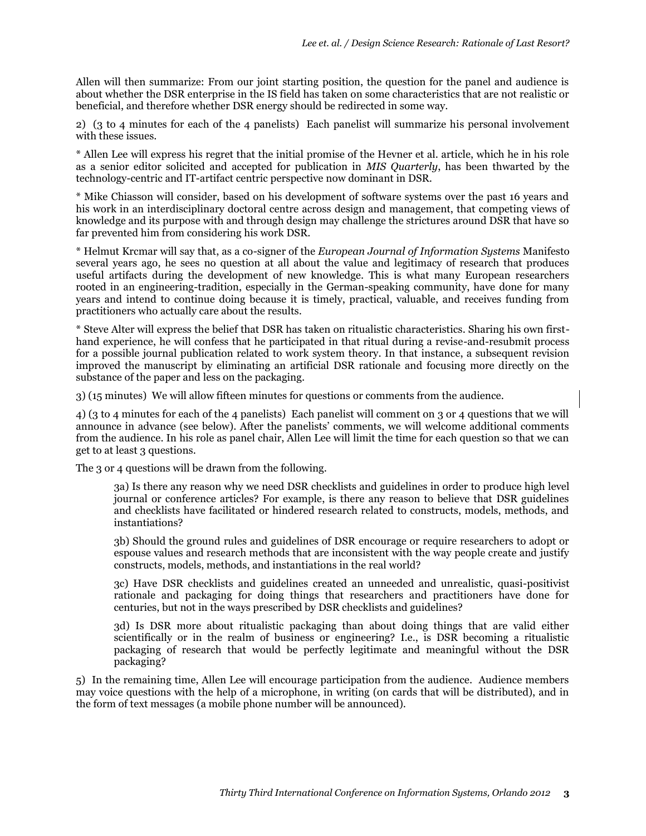Allen will then summarize: From our joint starting position, the question for the panel and audience is about whether the DSR enterprise in the IS field has taken on some characteristics that are not realistic or beneficial, and therefore whether DSR energy should be redirected in some way.

2) (3 to 4 minutes for each of the 4 panelists) Each panelist will summarize his personal involvement with these issues.

\* Allen Lee will express his regret that the initial promise of the Hevner et al. article, which he in his role as a senior editor solicited and accepted for publication in *MIS Quarterly*, has been thwarted by the technology-centric and IT-artifact centric perspective now dominant in DSR.

\* Mike Chiasson will consider, based on his development of software systems over the past 16 years and his work in an interdisciplinary doctoral centre across design and management, that competing views of knowledge and its purpose with and through design may challenge the strictures around DSR that have so far prevented him from considering his work DSR.

\* Helmut Krcmar will say that, as a co-signer of the *European Journal of Information Systems* Manifesto several years ago, he sees no question at all about the value and legitimacy of research that produces useful artifacts during the development of new knowledge. This is what many European researchers rooted in an engineering-tradition, especially in the German-speaking community, have done for many years and intend to continue doing because it is timely, practical, valuable, and receives funding from practitioners who actually care about the results.

\* Steve Alter will express the belief that DSR has taken on ritualistic characteristics. Sharing his own firsthand experience, he will confess that he participated in that ritual during a revise-and-resubmit process for a possible journal publication related to work system theory. In that instance, a subsequent revision improved the manuscript by eliminating an artificial DSR rationale and focusing more directly on the substance of the paper and less on the packaging.

3) (15 minutes) We will allow fifteen minutes for questions or comments from the audience.

4) (3 to 4 minutes for each of the 4 panelists) Each panelist will comment on 3 or 4 questions that we will announce in advance (see below). After the panelists' comments, we will welcome additional comments from the audience. In his role as panel chair, Allen Lee will limit the time for each question so that we can get to at least 3 questions.

The 3 or 4 questions will be drawn from the following.

3a) Is there any reason why we need DSR checklists and guidelines in order to produce high level journal or conference articles? For example, is there any reason to believe that DSR guidelines and checklists have facilitated or hindered research related to constructs, models, methods, and instantiations?

3b) Should the ground rules and guidelines of DSR encourage or require researchers to adopt or espouse values and research methods that are inconsistent with the way people create and justify constructs, models, methods, and instantiations in the real world?

3c) Have DSR checklists and guidelines created an unneeded and unrealistic, quasi-positivist rationale and packaging for doing things that researchers and practitioners have done for centuries, but not in the ways prescribed by DSR checklists and guidelines?

3d) Is DSR more about ritualistic packaging than about doing things that are valid either scientifically or in the realm of business or engineering? I.e., is DSR becoming a ritualistic packaging of research that would be perfectly legitimate and meaningful without the DSR packaging?

5) In the remaining time, Allen Lee will encourage participation from the audience. Audience members may voice questions with the help of a microphone, in writing (on cards that will be distributed), and in the form of text messages (a mobile phone number will be announced).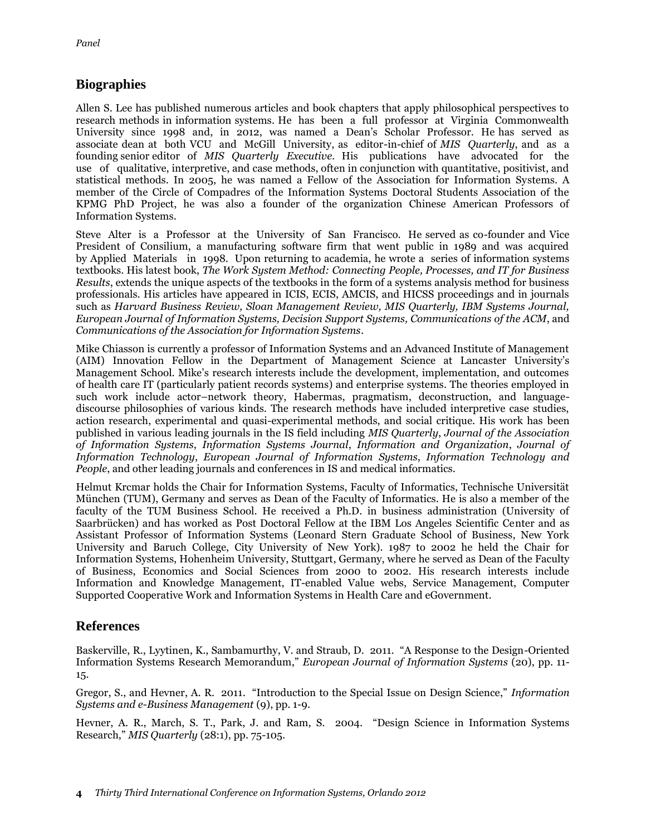#### **Biographies**

Allen S. Lee has published numerous articles and book chapters that apply philosophical perspectives to research methods in information systems. He has been a full professor at Virginia Commonwealth University since 1998 and, in 2012, was named a Dean's Scholar Professor. He has served as associate dean at both VCU and McGill University, as editor-in-chief of *MIS Quarterly*, and as a founding senior editor of *MIS Quarterly Executive*. His publications have advocated for the use of qualitative, interpretive, and case methods, often in conjunction with quantitative, positivist, and statistical methods. In 2005, he was named a Fellow of the Association for Information Systems. A member of the Circle of Compadres of the Information Systems Doctoral Students Association of the KPMG PhD Project, he was also a founder of the organization Chinese American Professors of Information Systems.

Steve Alter is a Professor at the University of San Francisco. He served as co-founder and Vice President of Consilium, a manufacturing software firm that went public in 1989 and was acquired by Applied Materials in 1998. Upon returning to academia, he wrote a series of information systems textbooks. His latest book, *The Work System Method: Connecting People, Processes, and IT for Business Results*, extends the unique aspects of the textbooks in the form of a systems analysis method for business professionals. His articles have appeared in ICIS, ECIS, AMCIS, and HICSS proceedings and in journals such as *Harvard Business Review, Sloan Management Review, MIS Quarterly, IBM Systems Journal, European Journal of Information Systems, Decision Support Systems, Communications of the ACM*, and *Communications of the Association for Information Systems*.

Mike Chiasson is currently a professor of Information Systems and an Advanced Institute of Management (AIM) Innovation Fellow in the Department of Management Science at Lancaster University's Management School. Mike's research interests include the development, implementation, and outcomes of health care IT (particularly patient records systems) and enterprise systems. The theories employed in such work include actor–network theory, Habermas, pragmatism, deconstruction, and languagediscourse philosophies of various kinds. The research methods have included interpretive case studies, action research, experimental and quasi-experimental methods, and social critique. His work has been published in various leading journals in the IS field including *MIS Quarterly*, *Journal of the Association of Information Systems*, *Information Systems Journal*, *Information and Organization*, *Journal of Information Technology*, *European Journal of Information Systems*, *Information Technology and People*, and other leading journals and conferences in IS and medical informatics.

Helmut Krcmar holds the Chair for Information Systems, Faculty of Informatics, Technische Universität München (TUM), Germany and serves as Dean of the Faculty of Informatics. He is also a member of the faculty of the TUM Business School. He received a Ph.D. in business administration (University of Saarbrücken) and has worked as Post Doctoral Fellow at the IBM Los Angeles Scientific Center and as Assistant Professor of Information Systems (Leonard Stern Graduate School of Business, New York University and Baruch College, City University of New York). 1987 to 2002 he held the Chair for Information Systems, Hohenheim University, Stuttgart, Germany, where he served as Dean of the Faculty of Business, Economics and Social Sciences from 2000 to 2002. His research interests include Information and Knowledge Management, IT-enabled Value webs, Service Management, Computer Supported Cooperative Work and Information Systems in Health Care and eGovernment.

### **References**

Baskerville, R., Lyytinen, K., Sambamurthy, V. and Straub, D. 2011. "A Response to the Design-Oriented Information Systems Research Memorandum," *European Journal of Information Systems* (20), pp. 11- 15.

Gregor, S., and Hevner, A. R. 2011. "Introduction to the Special Issue on Design Science," *Information Systems and e-Business Management* (9), pp. 1-9.

Hevner, A. R., March, S. T., Park, J. and Ram, S. 2004. "Design Science in Information Systems Research," *MIS Quarterly* (28:1), pp. 75-105.